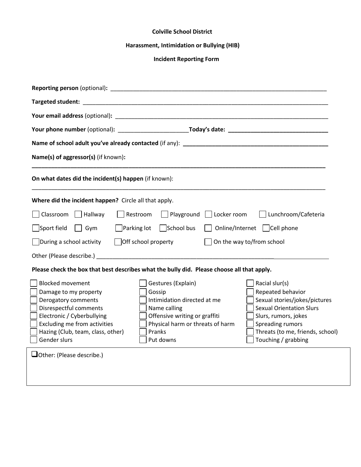## **Colville School District**

## **Harassment, Intimidation or Bullying (HIB)**

## **Incident Reporting Form**

| <b>Reporting person</b> (optional): <b>All and Security and Security All and Security All and Security All and Security All and Security All and Security All and Security All and Security All and Security All and Security All and</b>                                                                                                                                                                                                                                                                                                                                                                                                             |
|-------------------------------------------------------------------------------------------------------------------------------------------------------------------------------------------------------------------------------------------------------------------------------------------------------------------------------------------------------------------------------------------------------------------------------------------------------------------------------------------------------------------------------------------------------------------------------------------------------------------------------------------------------|
|                                                                                                                                                                                                                                                                                                                                                                                                                                                                                                                                                                                                                                                       |
|                                                                                                                                                                                                                                                                                                                                                                                                                                                                                                                                                                                                                                                       |
|                                                                                                                                                                                                                                                                                                                                                                                                                                                                                                                                                                                                                                                       |
|                                                                                                                                                                                                                                                                                                                                                                                                                                                                                                                                                                                                                                                       |
| Name(s) of aggressor(s) (if known):                                                                                                                                                                                                                                                                                                                                                                                                                                                                                                                                                                                                                   |
| On what dates did the incident(s) happen (if known):                                                                                                                                                                                                                                                                                                                                                                                                                                                                                                                                                                                                  |
| Where did the incident happen? Circle all that apply.                                                                                                                                                                                                                                                                                                                                                                                                                                                                                                                                                                                                 |
| Playground Locker room<br>Lunchroom/Cafeteria<br>Classroom<br>Hallway<br>Restroom                                                                                                                                                                                                                                                                                                                                                                                                                                                                                                                                                                     |
| Sport field<br>Parking lot<br>School bus<br>Online/Internet Cell phone<br>Gym                                                                                                                                                                                                                                                                                                                                                                                                                                                                                                                                                                         |
| During a school activity<br>$\vert$ Off school property<br>On the way to/from school                                                                                                                                                                                                                                                                                                                                                                                                                                                                                                                                                                  |
|                                                                                                                                                                                                                                                                                                                                                                                                                                                                                                                                                                                                                                                       |
| Please check the box that best describes what the bully did. Please choose all that apply.                                                                                                                                                                                                                                                                                                                                                                                                                                                                                                                                                            |
| <b>Blocked movement</b><br>Gestures (Explain)<br>Racial slur(s)<br>Repeated behavior<br>Damage to my property<br>Gossip<br>Derogatory comments<br>Intimidation directed at me<br>Sexual stories/jokes/pictures<br><b>Sexual Orientation Slurs</b><br>Disrespectful comments<br>Name calling<br>Electronic / Cyberbullying<br>Offensive writing or graffiti<br>Slurs, rumors, jokes<br>Physical harm or threats of harm<br>Excluding me from activities<br>Spreading rumors<br>Threats (to me, friends, school)<br>Hazing (Club, team, class, other)<br>Pranks<br>Gender slurs<br>Put downs<br>Touching / grabbing<br>$\Box$ Other: (Please describe.) |
|                                                                                                                                                                                                                                                                                                                                                                                                                                                                                                                                                                                                                                                       |